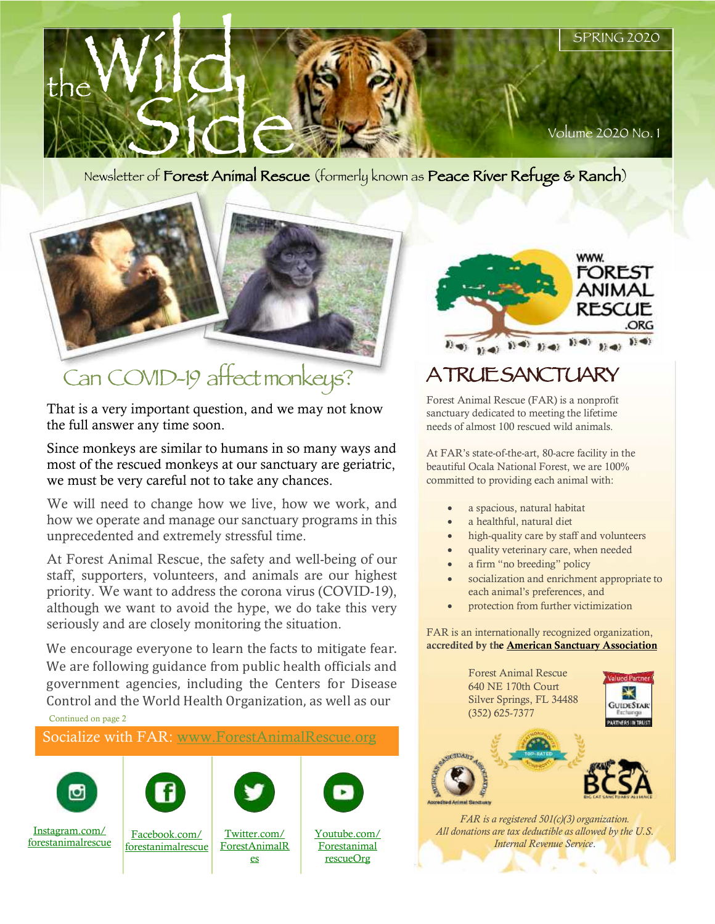

# Can COVID-19 affectmonkeys?

That is a very important question, and we may not know the full answer any time soon.

Since monkeys are similar to humans in so many ways and most of the rescued monkeys at our sanctuary are geriatric, we must be very careful not to take any chances.

We will need to change how we live, how we work, and how we operate and manage our sanctuary programs in this unprecedented and extremely stressful time.

At Forest Animal Rescue, the safety and well-being of our staff, supporters, volunteers, and animals are our highest priority. We want to address the corona virus (COVID-19), although we want to avoid the hype, we do take this very seriously and are closely monitoring the situation.

We encourage everyone to learn the facts to mitigate fear. We are following guidance from public health officials and government agencies, including the Centers for Disease Control and the World Health Organization, as well as our

Continued on page 2

Socialize with FAR: www.ForestAnimalRescue.org











Instagram.com/ forestanimalrescue

Facebook.com/ forestanimalrescue

Twitter.com/ ForestAnimalR es

Youtube.com/ **Forestanimal** 

rescueOrg

WWW. FOREST **ANIMAL** RESCUE ORG 

### A TRUE SANCTUARY

Forest Animal Rescue (FAR) is a nonprofit sanctuary dedicated to meeting the lifetime needs of almost 100 rescued wild animals.

At FAR's state-of-the-art, 80-acre facility in the beautiful Ocala National Forest, we are 100% committed to providing each animal with:

- a spacious, natural habitat
- a healthful, natural diet
- high-quality care by staff and volunteers
- quality veterinary care, when needed
- a firm "no breeding" policy
- socialization and enrichment appropriate to each animal's preferences, and
- protection from further victimization

FAR is an internationally recognized organization, accredited by the **American Sanctuary Association** 

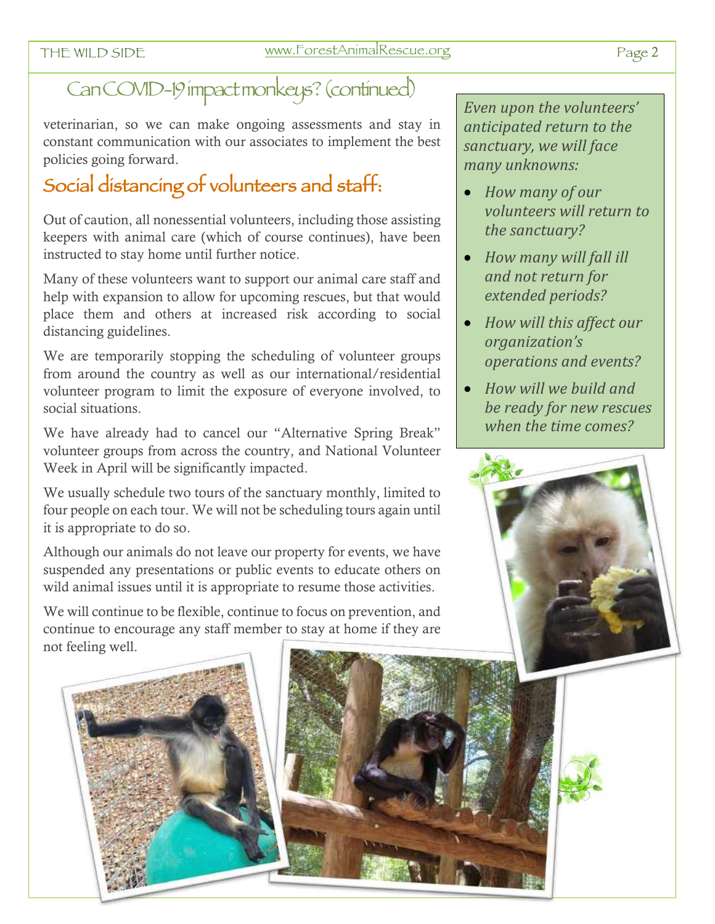### Can COVID-19 impact monkeys? (continued)

veterinarian, so we can make ongoing assessments and stay in constant communication with our associates to implement the best policies going forward.

### Social distancing of volunteers and staff:

Out of caution, all nonessential volunteers, including those assisting keepers with animal care (which of course continues), have been instructed to stay home until further notice.

Many of these volunteers want to support our animal care staff and help with expansion to allow for upcoming rescues, but that would place them and others at increased risk according to social distancing guidelines.

We are temporarily stopping the scheduling of volunteer groups from around the country as well as our international/residential volunteer program to limit the exposure of everyone involved, to social situations.

We have already had to cancel our "Alternative Spring Break" volunteer groups from across the country, and National Volunteer Week in April will be significantly impacted.

We usually schedule two tours of the sanctuary monthly, limited to four people on each tour. We will not be scheduling tours again until it is appropriate to do so.

Although our animals do not leave our property for events, we have suspended any presentations or public events to educate others on wild animal issues until it is appropriate to resume those activities.

We will continue to be flexible, continue to focus on prevention, and continue to encourage any staff member to stay at home if they are not feeling well.

Even upon the volunteers' *anticipated return to the*  sanctuary, we will face *many unknowns:*

- *How many of our volunteers will return to* the sanctuary?
- How many will fall *ill and not return for extended periods?*
- How will this affect our *organization's operations and events?*
- How will we build and be ready for new rescues *when the time comes?*



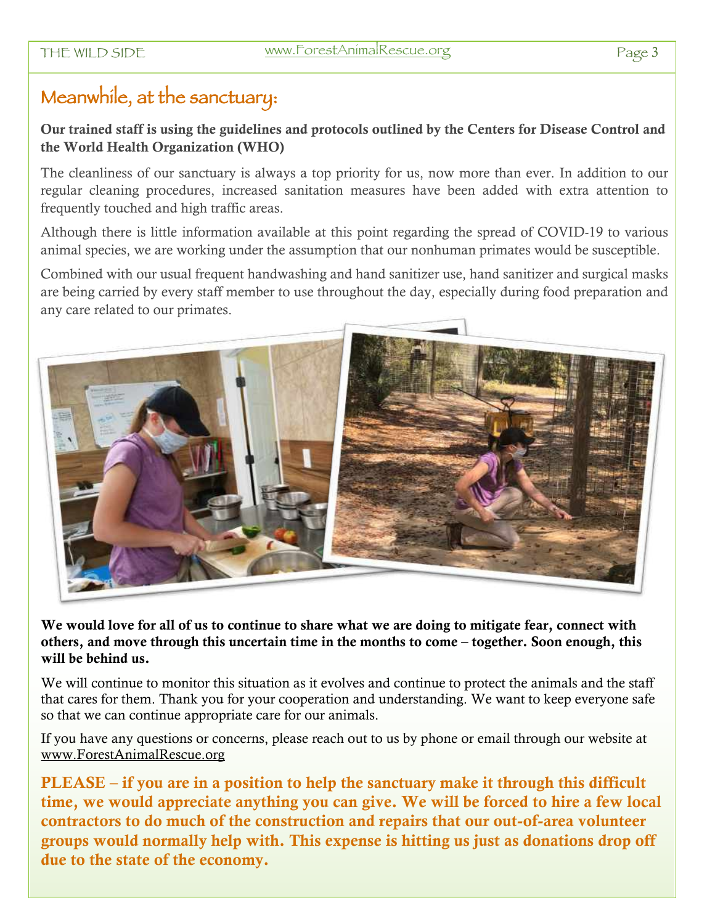#### Meanwhile, at the sanctuary:

Our trained staff is using the guidelines and protocols outlined by the Centers for Disease Control and the World Health Organization (WHO)

The cleanliness of our sanctuary is always a top priority for us, now more than ever. In addition to our regular cleaning procedures, increased sanitation measures have been added with extra attention to frequently touched and high traffic areas.

Although there is little information available at this point regarding the spread of COVID-19 to various animal species, we are working under the assumption that our nonhuman primates would be susceptible.

Combined with our usual frequent handwashing and hand sanitizer use, hand sanitizer and surgical masks are being carried by every staff member to use throughout the day, especially during food preparation and any care related to our primates.



We would love for all of us to continue to share what we are doing to mitigate fear, connect with others, and move through this uncertain time in the months to come – together. Soon enough, this will be behind us.

We will continue to monitor this situation as it evolves and continue to protect the animals and the staff that cares for them. Thank you for your cooperation and understanding. We want to keep everyone safe so that we can continue appropriate care for our animals.

If you have any questions or concerns, please reach out to us by phone or email through our website at www.ForestAnimalRescue.org

PLEASE – if you are in a position to help the sanctuary make it through this difficult time, we would appreciate anything you can give. We will be forced to hire a few local contractors to do much of the construction and repairs that our out-of-area volunteer groups would normally help with. This expense is hitting us just as donations drop off due to the state of the economy.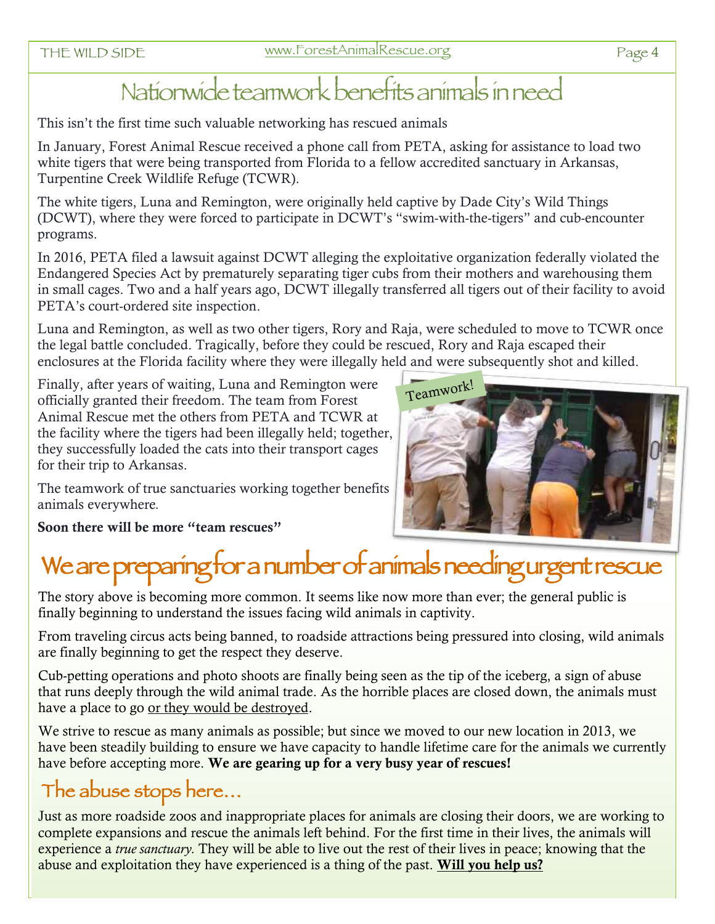### Nationwide teamwork benefits animals in need

This isn't the first time such valuable networking has rescued animals

In January, Forest Animal Rescue received a phone call from PETA, asking for assistance to load two white tigers that were being transported from Florida to a fellow accredited sanctuary in Arkansas, Turpentine Creek Wildlife Refuge (TCWR).

The white tigers, Luna and Remington, were originally held captive by Dade City's Wild Things (DCWT), where they were forced to participate in DCWT's "swim-with-the-tigers" and cub-encounter programs.

In 2016, PETA filed a lawsuit against DCWT alleging the exploitative organization federally violated the Endangered Species Act by prematurely separating tiger cubs from their mothers and warehousing them in small cages. Two and a half years ago, DCWT illegally transferred all tigers out of their facility to avoid PETA's court-ordered site inspection.

Luna and Remington, as well as two other tigers, Rory and Raja, were scheduled to move to TCWR once the legal battle concluded. Tragically, before they could be rescued, Rory and Raja escaped their enclosures at the Florida facility where they were illegally held and were subsequently shot and killed.

Finally, after years of waiting, Luna and Remington were officially granted their freedom. The team from Forest Animal Rescue met the others from PETA and TCWR at the facility where the tigers had been illegally held; together, they successfully loaded the cats into their transport cages for their trip to Arkansas.

The teamwork of true sanctuaries working together benefits

animals everywhere*.*

Soon there will be more "team rescues"

### We are preparing for a number of animals needing urgent rescue

The story above is becoming more common. It seems like now more than ever; the general public is finally beginning to understand the issues facing wild animals in captivity.

From traveling circus acts being banned, to roadside attractions being pressured into closing, wild animals are finally beginning to get the respect they deserve.

Cub-petting operations and photo shoots are finally being seen as the tip of the iceberg, a sign of abuse that runs deeply through the wild animal trade. As the horrible places are closed down, the animals must have a place to go or they would be destroyed.

We strive to rescue as many animals as possible; but since we moved to our new location in 2013, we have been steadily building to ensure we have capacity to handle lifetime care for the animals we currently have before accepting more. We are gearing up for a very busy year of rescues!

### The abuse stops here…

Just as more roadside zoos and inappropriate places for animals are closing their doors, we are working to complete expansions and rescue the animals left behind. For the first time in their lives, the animals will experience a *true sanctuary.* They will be able to live out the rest of their lives in peace; knowing that the abuse and exploitation they have experienced is a thing of the past. Will you help us?

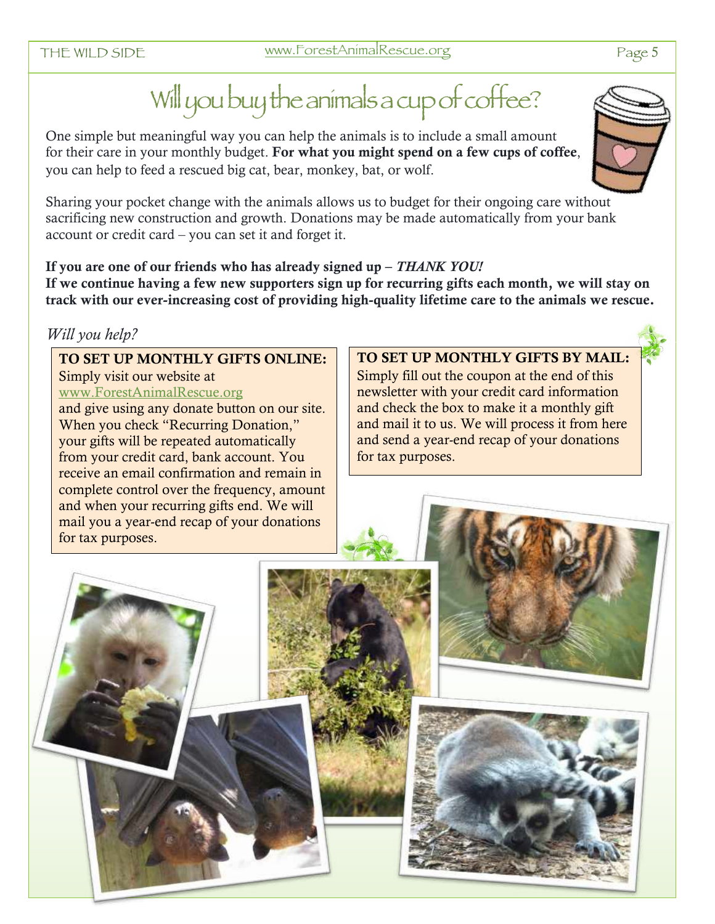## Will you buy the animals a cup of coffee?

One simple but meaningful way you can help the animals is to include a small amount for their care in your monthly budget. For what you might spend on a few cups of coffee, you can help to feed a rescued big cat, bear, monkey, bat, or wolf.

Sharing your pocket change with the animals allows us to budget for their ongoing care without sacrificing new construction and growth. Donations may be made automatically from your bank account or credit card – you can set it and forget it.

If you are one of our friends who has already signed up – *THANK YOU!*  If we continue having a few new supporters sign up for recurring gifts each month, we will stay on track with our ever-increasing cost of providing high-quality lifetime care to the animals we rescue.

#### *Will you help?*

#### TO SET UP MONTHLY GIFTS ONLINE:

Simply visit our website at www.ForestAnimalRescue.org and give using any donate button on our site. When you check "Recurring Donation," your gifts will be repeated automatically from your credit card, bank account. You receive an email confirmation and remain in complete control over the frequency, amount and when your recurring gifts end. We will mail you a year-end recap of your donations for tax purposes.

#### TO SET UP MONTHLY GIFTS BY MAIL:

Simply fill out the coupon at the end of this newsletter with your credit card information and check the box to make it a monthly gift and mail it to us. We will process it from here and send a year-end recap of your donations for tax purposes.



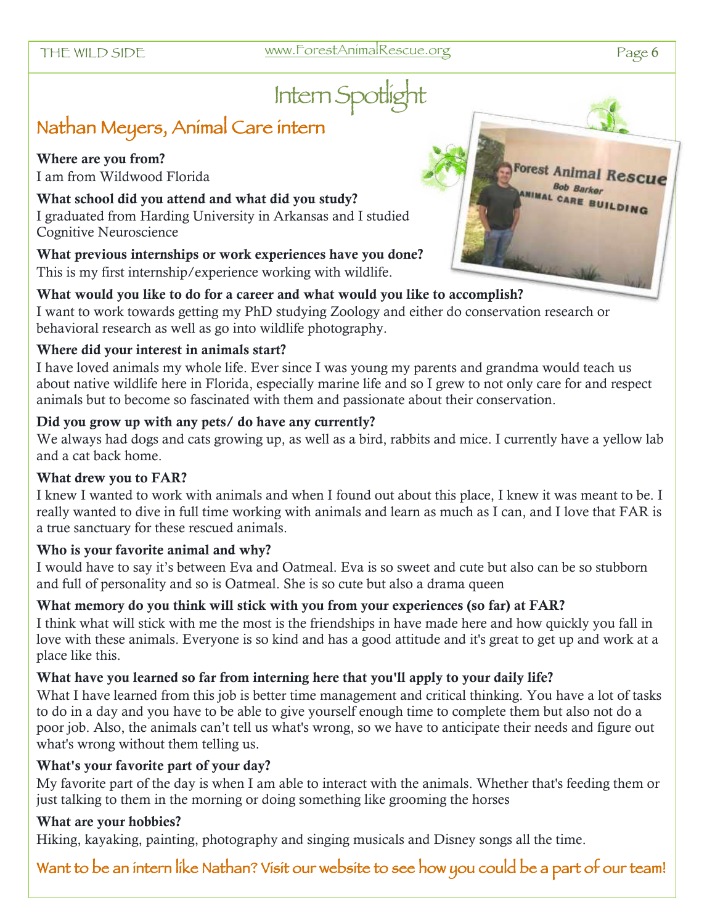## Intern Spotlig

#### Nathan Meyers, Animal Care intern

Where are you from? I am from Wildwood Florida

What school did you attend and what did you study? I graduated from Harding University in Arkansas and I studied Cognitive Neuroscience

What previous internships or work experiences have you done? This is my first internship/experience working with wildlife.



#### What would you like to do for a career and what would you like to accomplish?

I want to work towards getting my PhD studying Zoology and either do conservation research or behavioral research as well as go into wildlife photography.

#### Where did your interest in animals start?

I have loved animals my whole life. Ever since I was young my parents and grandma would teach us about native wildlife here in Florida, especially marine life and so I grew to not only care for and respect animals but to become so fascinated with them and passionate about their conservation.

#### Did you grow up with any pets/ do have any currently?

We always had dogs and cats growing up, as well as a bird, rabbits and mice. I currently have a yellow lab and a cat back home.

#### What drew you to FAR?

I knew I wanted to work with animals and when I found out about this place, I knew it was meant to be. I really wanted to dive in full time working with animals and learn as much as I can, and I love that FAR is a true sanctuary for these rescued animals.

#### Who is your favorite animal and why?

I would have to say it's between Eva and Oatmeal. Eva is so sweet and cute but also can be so stubborn and full of personality and so is Oatmeal. She is so cute but also a drama queen

#### What memory do you think will stick with you from your experiences (so far) at FAR?

I think what will stick with me the most is the friendships in have made here and how quickly you fall in love with these animals. Everyone is so kind and has a good attitude and it's great to get up and work at a place like this.

#### What have you learned so far from interning here that you'll apply to your daily life?

What I have learned from this job is better time management and critical thinking. You have a lot of tasks to do in a day and you have to be able to give yourself enough time to complete them but also not do a poor job. Also, the animals can't tell us what's wrong, so we have to anticipate their needs and figure out what's wrong without them telling us.

#### What's your favorite part of your day?

My favorite part of the day is when I am able to interact with the animals. Whether that's feeding them or just talking to them in the morning or doing something like grooming the horses

#### What are your hobbies?

Hiking, kayaking, painting, photography and singing musicals and Disney songs all the time.

Want to be an intern like Nathan? Visit our website to see how you could be a part of our team!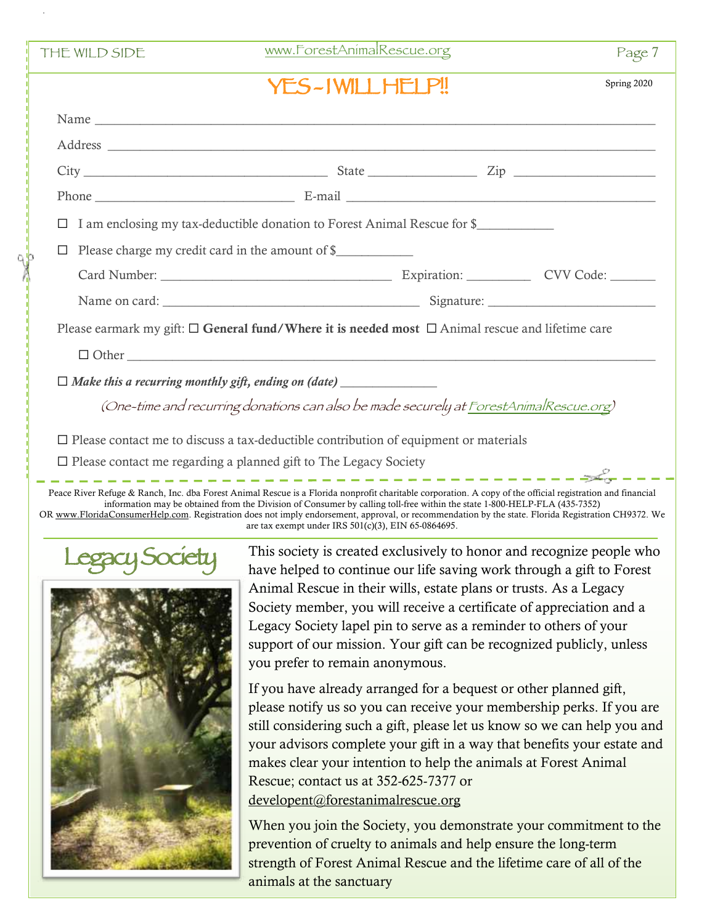| THE WILD SIDE                                                                                              | www.ForestAnimalRescue.org                                                             | Page 7      |
|------------------------------------------------------------------------------------------------------------|----------------------------------------------------------------------------------------|-------------|
|                                                                                                            | YES-IWILLHELP!!                                                                        | Spring 2020 |
|                                                                                                            |                                                                                        |             |
|                                                                                                            |                                                                                        |             |
|                                                                                                            |                                                                                        |             |
|                                                                                                            |                                                                                        |             |
| I am enclosing my tax-deductible donation to Forest Animal Rescue for \$                                   |                                                                                        |             |
|                                                                                                            | Please charge my credit card in the amount of \$                                       |             |
|                                                                                                            |                                                                                        |             |
|                                                                                                            |                                                                                        |             |
| Please earmark my gift: $\Box$ General fund/Where it is needed most $\Box$ Animal rescue and lifetime care |                                                                                        |             |
|                                                                                                            |                                                                                        |             |
|                                                                                                            | $\Box$ Make this a recurring monthly gift, ending on (date) $\Box$                     |             |
|                                                                                                            | (One-time and recurring donations can also be made securely at ForestAnimalRescue.org) |             |
| $\square$ Please contact me to discuss a tax-deductible contribution of equipment or materials             |                                                                                        |             |
| $\square$ Please contact me regarding a planned gift to The Legacy Society                                 |                                                                                        |             |

Peace River Refuge & Ranch, Inc. dba Forest Animal Rescue is a Florida nonprofit charitable corporation. A copy of the official registration and financial information may be obtained from the Division of Consumer by calling toll-free within the state 1-800-HELP-FLA (435-7352) OR www.FloridaConsumerHelp.com. Registration does not imply endorsement, approval, or recommendation by the state. Florida Registration CH9372. We are tax exempt under IRS 501(c)(3), EIN 65-0864695.



Legacy Society This society is created exclusively to honor and recognize people who have helped to continue our life saving work through a gift to Forest have helped to continue our life saving work through a gift to Forest Animal Rescue in their wills, estate plans or trusts. As a Legacy Society member, you will receive a certificate of appreciation and a Legacy Society lapel pin to serve as a reminder to others of your support of our mission. Your gift can be recognized publicly, unless you prefer to remain anonymous.

> If you have already arranged for a bequest or other planned gift, please notify us so you can receive your membership perks. If you are still considering such a gift, please let us know so we can help you and your advisors complete your gift in a way that benefits your estate and makes clear your intention to help the animals at Forest Animal Rescue; contact us at 352-625-7377 or developent@forestanimalrescue.org

> When you join the Society, you demonstrate your commitment to the prevention of cruelty to animals and help ensure the long-term strength of Forest Animal Rescue and the lifetime care of all of the animals at the sanctuary